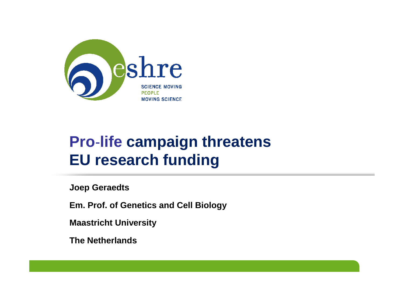

## **Pro**‐**life campaign threatens EU research funding**

**Joep Geraedts**

**Em. Prof. of Genetics and Cell Biology**

**Maastricht University**

**The Netherlands**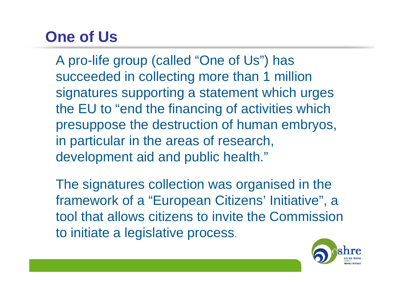## **One of Us**

A pro-life group (called "One of Us") has succeeded in collecting more than 1 million signatures supporting a statement which urges the EU to "end the financing of activities which presuppose the destruction of human embryos, in particular in the areas of research, development aid and public health."

The signatures collection was organised in the framework of a "European Citizens' Initiative", a tool that allows citizens to invite the Commission to initiate a legislative process.

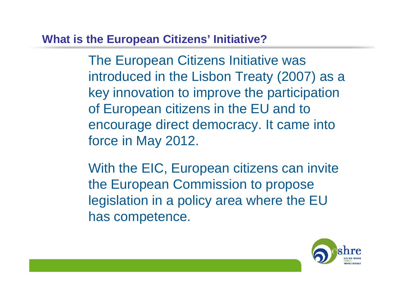### **What is the European Citizens' Initiative?**

The European Citizens Initiative was introduced in the Lisbon Treaty (2007) as a key innovation to improve the participation of European citizens in the EU and to encourage direct democracy. It came into force in May 2012.

With the EIC, European citizens can invite the European Commission to propose legislation in a policy area where the EU has competence.

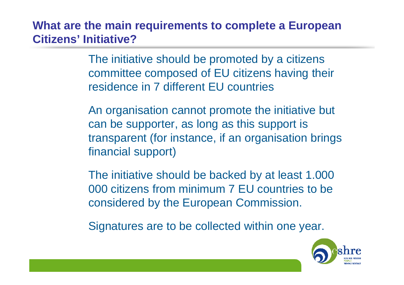**What are the main requirements to complete a European Citizens' Initiative?**

> The initiative should be promoted by a citizens committee composed of EU citizens having their residence in 7 different EU countries

An organisation cannot promote the initiative but can be supporter, as long as this support is transparent (for instance, if an organisation brings financial support)

The initiative should be backed by at least 1.000 000 citizens from minimum 7 EU countries to be considered by the European Commission.

Signatures are to be collected within one year.

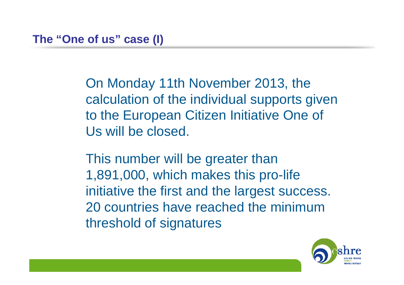On Monday 11th November 2013, the calculation of the individual supports given to the European Citizen Initiative One of Us will be closed.

This number will be greater than 1,891,000, which makes this pro-life initiative the first and the largest success. 20 countries have reached the minimum threshold of signatures

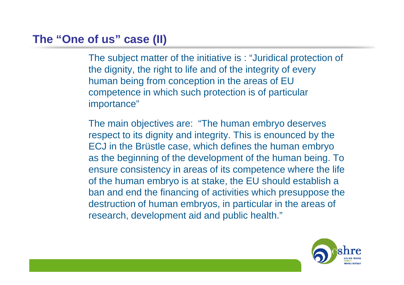### **The "One of us" case (II)**

The subject matter of the initiative is : "Juridical protection of the dignity, the right to life and of the integrity of every human being from conception in the areas of EU competence in which such protection is of particular importance"

The main objectives are: "The human embryo deserves respect to its dignity and integrity. This is enounced by the ECJ in the Brüstle case, which defines the human embryo as the beginning of the development of the human being. To ensure consistency in areas of its competence where the life of the human embryo is at stake, the EU should establish a ban and end the financing of activities which presuppose the destruction of human embryos, in particular in the areas of research, development aid and public health."

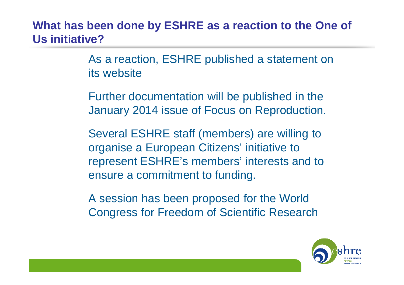## **What has been done by ESHRE as a reaction to the One of Us initiative?**

As a reaction, ESHRE published a statement on its website

Further documentation will be published in the January 2014 issue of Focus on Reproduction.

Several ESHRE staff (members) are willing to organise a European Citizens' initiative to represent ESHRE's members' interests and to ensure a commitment to funding.

A session has been proposed for the World Congress for Freedom of Scientific Research

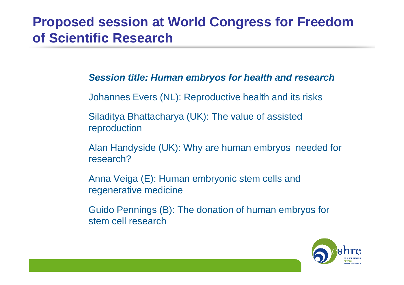## **Proposed session at World Congress for Freedom of Scientific Research**

#### **Session title: Human embryos for health and research**

Johannes Evers (NL): Reproductive health and its risks

Siladitya Bhattacharya (UK): The value of assistedreproduction

Alan Handyside (UK): Why are human embryos needed for research?

Anna Veiga (E): Human embryonic stem cells andregenerative medicine

Guido Pennings (B): The donation of human embryos forstem cell research

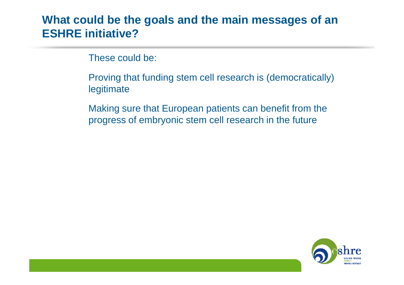### **What could be the goals and the main messages of anESHRE initiative?**

These could be:

Proving that funding stem cell research is (democratically) legitimate

Making sure that European patients can benefit from the progress of embryonic stem cell research in the future